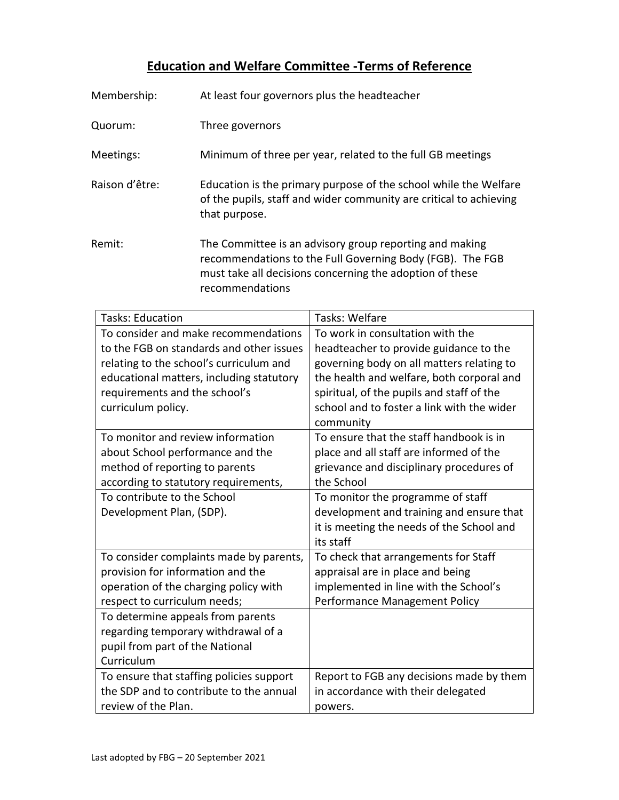## **Education and Welfare Committee -Terms of Reference**

| Membership:    | At least four governors plus the headteacher                                                                                                                                                        |
|----------------|-----------------------------------------------------------------------------------------------------------------------------------------------------------------------------------------------------|
| Quorum:        | Three governors                                                                                                                                                                                     |
| Meetings:      | Minimum of three per year, related to the full GB meetings                                                                                                                                          |
| Raison d'être: | Education is the primary purpose of the school while the Welfare<br>of the pupils, staff and wider community are critical to achieving<br>that purpose.                                             |
| Remit:         | The Committee is an advisory group reporting and making<br>recommendations to the Full Governing Body (FGB). The FGB<br>must take all decisions concerning the adoption of these<br>recommendations |

| <b>Tasks: Education</b>                                                                                                   | Tasks: Welfare                                                                                                                                    |
|---------------------------------------------------------------------------------------------------------------------------|---------------------------------------------------------------------------------------------------------------------------------------------------|
| To consider and make recommendations                                                                                      | To work in consultation with the                                                                                                                  |
| to the FGB on standards and other issues                                                                                  | headteacher to provide guidance to the                                                                                                            |
| relating to the school's curriculum and                                                                                   | governing body on all matters relating to                                                                                                         |
| educational matters, including statutory<br>requirements and the school's<br>curriculum policy.                           | the health and welfare, both corporal and<br>spiritual, of the pupils and staff of the<br>school and to foster a link with the wider<br>community |
| To monitor and review information                                                                                         | To ensure that the staff handbook is in                                                                                                           |
| about School performance and the                                                                                          | place and all staff are informed of the                                                                                                           |
| method of reporting to parents                                                                                            | grievance and disciplinary procedures of                                                                                                          |
| according to statutory requirements,                                                                                      | the School                                                                                                                                        |
| To contribute to the School<br>Development Plan, (SDP).                                                                   | To monitor the programme of staff<br>development and training and ensure that<br>it is meeting the needs of the School and<br>its staff           |
| To consider complaints made by parents,                                                                                   | To check that arrangements for Staff                                                                                                              |
| provision for information and the                                                                                         | appraisal are in place and being                                                                                                                  |
| operation of the charging policy with                                                                                     | implemented in line with the School's                                                                                                             |
| respect to curriculum needs;                                                                                              | Performance Management Policy                                                                                                                     |
| To determine appeals from parents<br>regarding temporary withdrawal of a<br>pupil from part of the National<br>Curriculum |                                                                                                                                                   |
| To ensure that staffing policies support                                                                                  | Report to FGB any decisions made by them                                                                                                          |
| the SDP and to contribute to the annual                                                                                   | in accordance with their delegated                                                                                                                |
| review of the Plan.                                                                                                       | powers.                                                                                                                                           |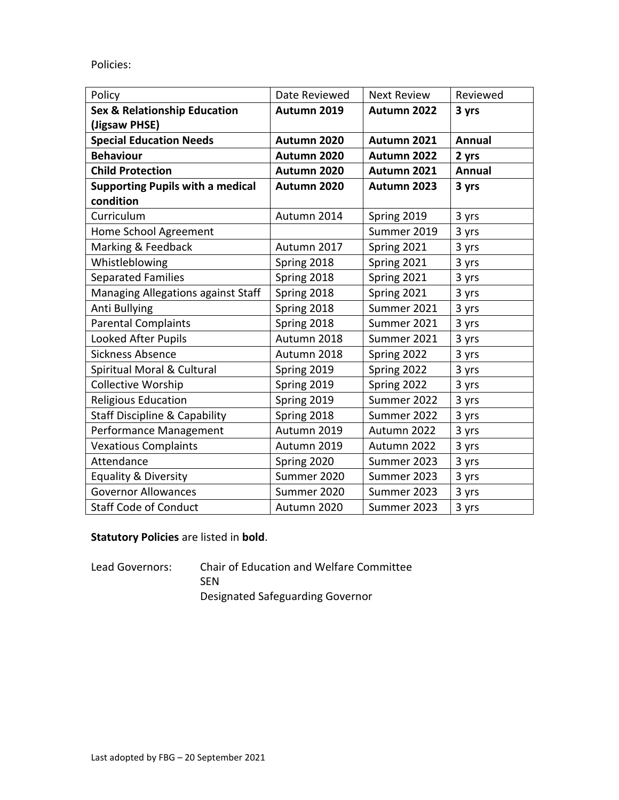Policies:

| Policy                                   | Date Reviewed | <b>Next Review</b> | Reviewed      |
|------------------------------------------|---------------|--------------------|---------------|
| <b>Sex &amp; Relationship Education</b>  | Autumn 2019   | Autumn 2022        | 3 yrs         |
| (Jigsaw PHSE)                            |               |                    |               |
| <b>Special Education Needs</b>           | Autumn 2020   | Autumn 2021        | Annual        |
| <b>Behaviour</b>                         | Autumn 2020   | Autumn 2022        | 2 yrs         |
| <b>Child Protection</b>                  | Autumn 2020   | Autumn 2021        | <b>Annual</b> |
| <b>Supporting Pupils with a medical</b>  | Autumn 2020   | Autumn 2023        | 3 yrs         |
| condition                                |               |                    |               |
| Curriculum                               | Autumn 2014   | Spring 2019        | 3 yrs         |
| Home School Agreement                    |               | Summer 2019        | 3 yrs         |
| Marking & Feedback                       | Autumn 2017   | Spring 2021        | 3 yrs         |
| Whistleblowing                           | Spring 2018   | Spring 2021        | 3 yrs         |
| <b>Separated Families</b>                | Spring 2018   | Spring 2021        | 3 yrs         |
| Managing Allegations against Staff       | Spring 2018   | Spring 2021        | 3 yrs         |
| Anti Bullying                            | Spring 2018   | Summer 2021        | 3 yrs         |
| <b>Parental Complaints</b>               | Spring 2018   | Summer 2021        | 3 yrs         |
| <b>Looked After Pupils</b>               | Autumn 2018   | Summer 2021        | 3 yrs         |
| <b>Sickness Absence</b>                  | Autumn 2018   | Spring 2022        | 3 yrs         |
| Spiritual Moral & Cultural               | Spring 2019   | Spring 2022        | 3 yrs         |
| <b>Collective Worship</b>                | Spring 2019   | Spring 2022        | 3 yrs         |
| <b>Religious Education</b>               | Spring 2019   | Summer 2022        | 3 yrs         |
| <b>Staff Discipline &amp; Capability</b> | Spring 2018   | Summer 2022        | 3 yrs         |
| Performance Management                   | Autumn 2019   | Autumn 2022        | 3 yrs         |
| <b>Vexatious Complaints</b>              | Autumn 2019   | Autumn 2022        | 3 yrs         |
| Attendance                               | Spring 2020   | Summer 2023        | 3 yrs         |
| <b>Equality &amp; Diversity</b>          | Summer 2020   | Summer 2023        | 3 yrs         |
| <b>Governor Allowances</b>               | Summer 2020   | Summer 2023        | 3 yrs         |
| <b>Staff Code of Conduct</b>             | Autumn 2020   | Summer 2023        | 3 yrs         |

## **Statutory Policies** are listed in **bold**.

Lead Governors: Chair of Education and Welfare Committee SEN Designated Safeguarding Governor